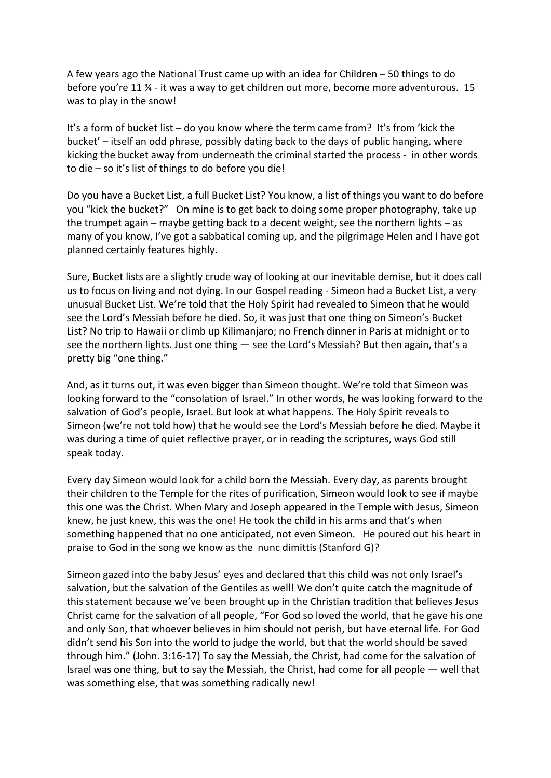A few years ago the National Trust came up with an idea for Children – 50 things to do before you're 11 ¾ - it was a way to get children out more, become more adventurous. 15 was to play in the snow!

It's a form of bucket list – do you know where the term came from? It's from 'kick the bucket' – itself an odd phrase, possibly dating back to the days of public hanging, where kicking the bucket away from underneath the criminal started the process - in other words to die – so it's list of things to do before you die!

Do you have a Bucket List, a full Bucket List? You know, a list of things you want to do before you "kick the bucket?" On mine is to get back to doing some proper photography, take up the trumpet again – maybe getting back to a decent weight, see the northern lights – as many of you know, I've got a sabbatical coming up, and the pilgrimage Helen and I have got planned certainly features highly.

Sure, Bucket lists are a slightly crude way of looking at our inevitable demise, but it does call us to focus on living and not dying. In our Gospel reading - Simeon had a Bucket List, a very unusual Bucket List. We're told that the Holy Spirit had revealed to Simeon that he would see the Lord's Messiah before he died. So, it was just that one thing on Simeon's Bucket List? No trip to Hawaii or climb up Kilimanjaro; no French dinner in Paris at midnight or to see the northern lights. Just one thing — see the Lord's Messiah? But then again, that's a pretty big "one thing."

And, as it turns out, it was even bigger than Simeon thought. We're told that Simeon was looking forward to the "consolation of Israel." In other words, he was looking forward to the salvation of God's people, Israel. But look at what happens. The Holy Spirit reveals to Simeon (we're not told how) that he would see the Lord's Messiah before he died. Maybe it was during a time of quiet reflective prayer, or in reading the scriptures, ways God still speak today.

Every day Simeon would look for a child born the Messiah. Every day, as parents brought their children to the Temple for the rites of purification, Simeon would look to see if maybe this one was the Christ. When Mary and Joseph appeared in the Temple with Jesus, Simeon knew, he just knew, this was the one! He took the child in his arms and that's when something happened that no one anticipated, not even Simeon. He poured out his heart in praise to God in the song we know as the nunc dimittis (Stanford G)?

Simeon gazed into the baby Jesus' eyes and declared that this child was not only Israel's salvation, but the salvation of the Gentiles as well! We don't quite catch the magnitude of this statement because we've been brought up in the Christian tradition that believes Jesus Christ came for the salvation of all people, "For God so loved the world, that he gave his one and only Son, that whoever believes in him should not perish, but have eternal life. For God didn't send his Son into the world to judge the world, but that the world should be saved through him." (John. 3:16-17) To say the Messiah, the Christ, had come for the salvation of Israel was one thing, but to say the Messiah, the Christ, had come for all people — well that was something else, that was something radically new!